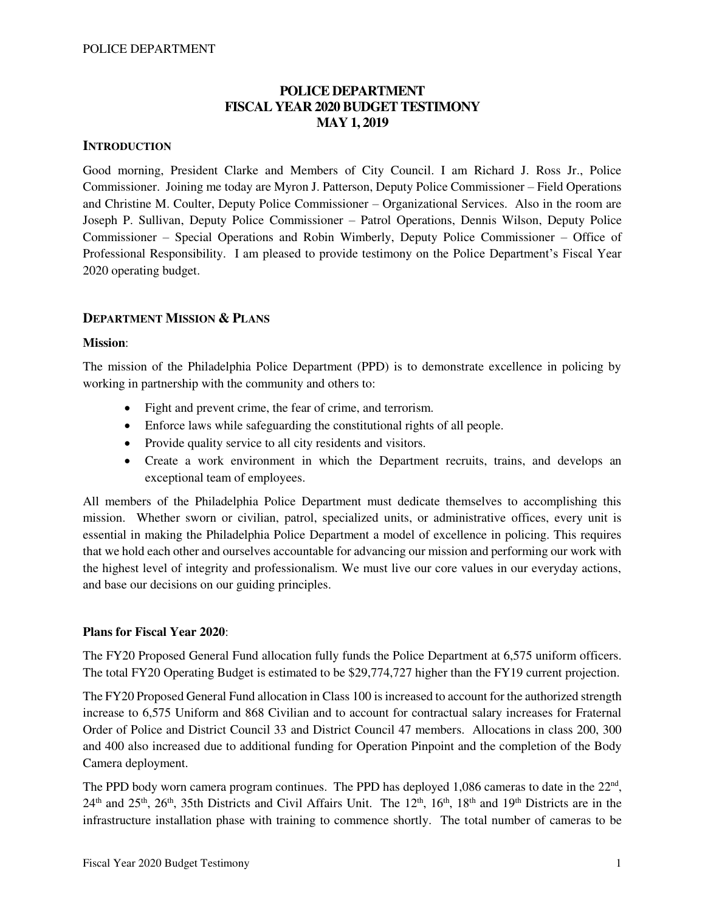## **POLICE DEPARTMENT FISCAL YEAR 2020 BUDGET TESTIMONY MAY 1, 2019**

### **INTRODUCTION**

Good morning, President Clarke and Members of City Council. I am Richard J. Ross Jr., Police Commissioner. Joining me today are Myron J. Patterson, Deputy Police Commissioner – Field Operations and Christine M. Coulter, Deputy Police Commissioner – Organizational Services. Also in the room are Joseph P. Sullivan, Deputy Police Commissioner – Patrol Operations, Dennis Wilson, Deputy Police Commissioner – Special Operations and Robin Wimberly, Deputy Police Commissioner – Office of Professional Responsibility. I am pleased to provide testimony on the Police Department's Fiscal Year 2020 operating budget.

### **DEPARTMENT MISSION & PLANS**

### **Mission**:

The mission of the Philadelphia Police Department (PPD) is to demonstrate excellence in policing by working in partnership with the community and others to:

- Fight and prevent crime, the fear of crime, and terrorism.
- Enforce laws while safeguarding the constitutional rights of all people.
- Provide quality service to all city residents and visitors.
- Create a work environment in which the Department recruits, trains, and develops an exceptional team of employees.

All members of the Philadelphia Police Department must dedicate themselves to accomplishing this mission. Whether sworn or civilian, patrol, specialized units, or administrative offices, every unit is essential in making the Philadelphia Police Department a model of excellence in policing. This requires that we hold each other and ourselves accountable for advancing our mission and performing our work with the highest level of integrity and professionalism. We must live our core values in our everyday actions, and base our decisions on our guiding principles.

### **Plans for Fiscal Year 2020**:

The FY20 Proposed General Fund allocation fully funds the Police Department at 6,575 uniform officers. The total FY20 Operating Budget is estimated to be \$29,774,727 higher than the FY19 current projection.

The FY20 Proposed General Fund allocation in Class 100 is increased to account for the authorized strength increase to 6,575 Uniform and 868 Civilian and to account for contractual salary increases for Fraternal Order of Police and District Council 33 and District Council 47 members. Allocations in class 200, 300 and 400 also increased due to additional funding for Operation Pinpoint and the completion of the Body Camera deployment.

The PPD body worn camera program continues. The PPD has deployed 1,086 cameras to date in the  $22<sup>nd</sup>$ ,  $24<sup>th</sup>$  and  $25<sup>th</sup>$ ,  $26<sup>th</sup>$ ,  $35th$  Districts and Civil Affairs Unit. The  $12<sup>th</sup>$ ,  $16<sup>th</sup>$ ,  $18<sup>th</sup>$  and  $19<sup>th</sup>$  Districts are in the infrastructure installation phase with training to commence shortly. The total number of cameras to be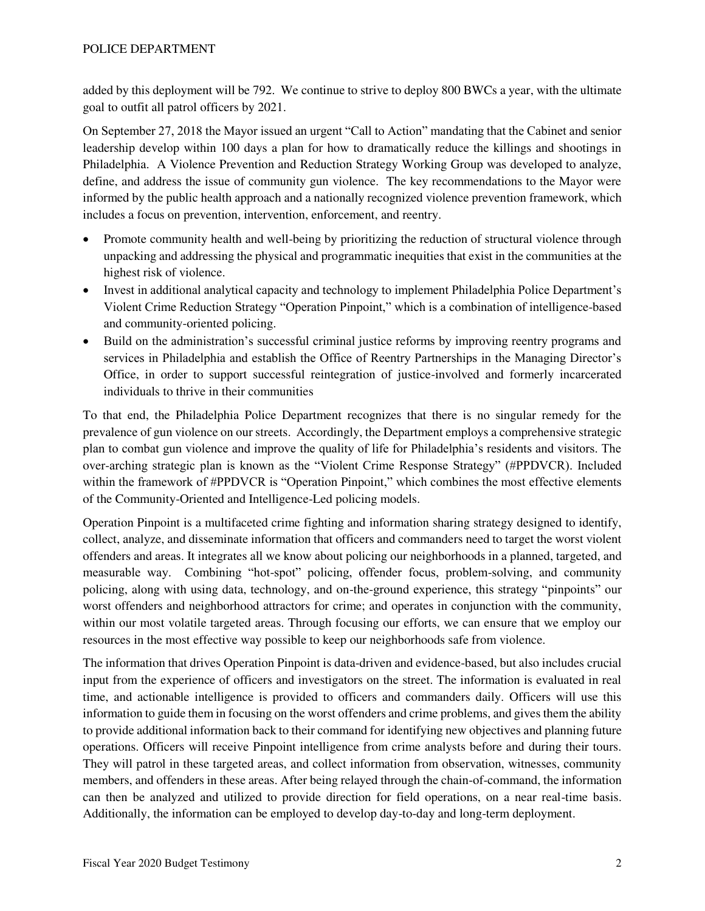added by this deployment will be 792. We continue to strive to deploy 800 BWCs a year, with the ultimate goal to outfit all patrol officers by 2021.

On September 27, 2018 the Mayor issued an urgent "Call to Action" mandating that the Cabinet and senior leadership develop within 100 days a plan for how to dramatically reduce the killings and shootings in Philadelphia. A Violence Prevention and Reduction Strategy Working Group was developed to analyze, define, and address the issue of community gun violence. The key recommendations to the Mayor were informed by the public health approach and a nationally recognized violence prevention framework, which includes a focus on prevention, intervention, enforcement, and reentry.

- Promote community health and well-being by prioritizing the reduction of structural violence through unpacking and addressing the physical and programmatic inequities that exist in the communities at the highest risk of violence.
- Invest in additional analytical capacity and technology to implement Philadelphia Police Department's Violent Crime Reduction Strategy "Operation Pinpoint," which is a combination of intelligence-based and community-oriented policing.
- Build on the administration's successful criminal justice reforms by improving reentry programs and services in Philadelphia and establish the Office of Reentry Partnerships in the Managing Director's Office, in order to support successful reintegration of justice-involved and formerly incarcerated individuals to thrive in their communities

To that end, the Philadelphia Police Department recognizes that there is no singular remedy for the prevalence of gun violence on our streets. Accordingly, the Department employs a comprehensive strategic plan to combat gun violence and improve the quality of life for Philadelphia's residents and visitors. The over-arching strategic plan is known as the "Violent Crime Response Strategy" (#PPDVCR). Included within the framework of #PPDVCR is "Operation Pinpoint," which combines the most effective elements of the Community-Oriented and Intelligence-Led policing models.

Operation Pinpoint is a multifaceted crime fighting and information sharing strategy designed to identify, collect, analyze, and disseminate information that officers and commanders need to target the worst violent offenders and areas. It integrates all we know about policing our neighborhoods in a planned, targeted, and measurable way. Combining "hot-spot" policing, offender focus, problem-solving, and community policing, along with using data, technology, and on-the-ground experience, this strategy "pinpoints" our worst offenders and neighborhood attractors for crime; and operates in conjunction with the community, within our most volatile targeted areas. Through focusing our efforts, we can ensure that we employ our resources in the most effective way possible to keep our neighborhoods safe from violence.

The information that drives Operation Pinpoint is data-driven and evidence-based, but also includes crucial input from the experience of officers and investigators on the street. The information is evaluated in real time, and actionable intelligence is provided to officers and commanders daily. Officers will use this information to guide them in focusing on the worst offenders and crime problems, and gives them the ability to provide additional information back to their command for identifying new objectives and planning future operations. Officers will receive Pinpoint intelligence from crime analysts before and during their tours. They will patrol in these targeted areas, and collect information from observation, witnesses, community members, and offenders in these areas. After being relayed through the chain-of-command, the information can then be analyzed and utilized to provide direction for field operations, on a near real-time basis. Additionally, the information can be employed to develop day-to-day and long-term deployment.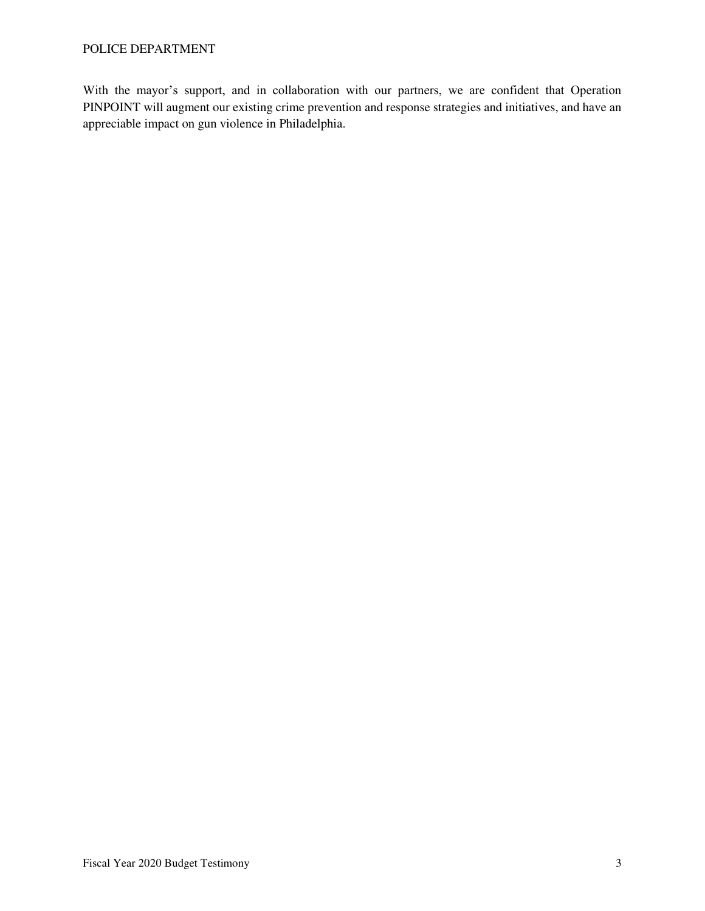With the mayor's support, and in collaboration with our partners, we are confident that Operation PINPOINT will augment our existing crime prevention and response strategies and initiatives, and have an appreciable impact on gun violence in Philadelphia.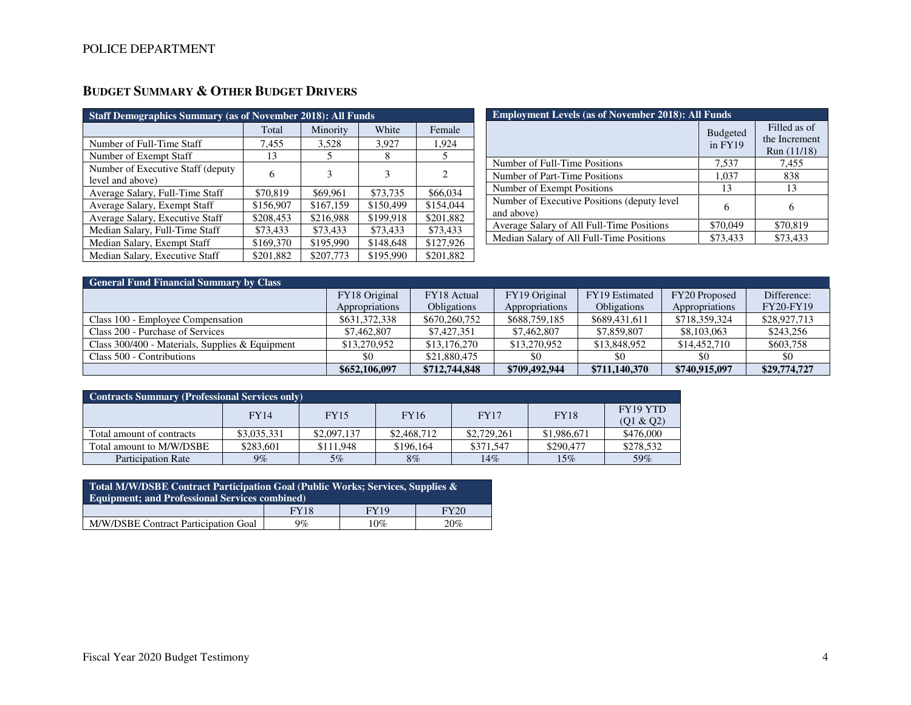| <b>Staff Demographics Summary (as of November 2018): All Funds</b> |           |           |           |                               |  |  |
|--------------------------------------------------------------------|-----------|-----------|-----------|-------------------------------|--|--|
|                                                                    | Total     | Minority  | White     | Female                        |  |  |
| Number of Full-Time Staff                                          | 7,455     | 3,528     | 3,927     | 1,924                         |  |  |
| Number of Exempt Staff                                             | 13        |           | 8         |                               |  |  |
| Number of Executive Staff (deputy)<br>level and above)             | 6         |           | 3         | $\mathfrak{D}_{\mathfrak{p}}$ |  |  |
| Average Salary, Full-Time Staff                                    | \$70,819  | \$69,961  | \$73,735  | \$66,034                      |  |  |
| Average Salary, Exempt Staff                                       | \$156,907 | \$167,159 | \$150.499 | \$154,044                     |  |  |
| Average Salary, Executive Staff                                    | \$208,453 | \$216,988 | \$199,918 | \$201,882                     |  |  |
| Median Salary, Full-Time Staff                                     | \$73,433  | \$73,433  | \$73,433  | \$73,433                      |  |  |
| Median Salary, Exempt Staff                                        | \$169,370 | \$195,990 | \$148,648 | \$127,926                     |  |  |
| Median Salary, Executive Staff                                     | \$201,882 | \$207,773 | \$195,990 | \$201,882                     |  |  |

# **BUDGET SUMMARY & OTHER BUDGET DRIVERS**

| <b>Employment Levels (as of November 2018): All Funds</b> |                            |                                              |  |  |  |
|-----------------------------------------------------------|----------------------------|----------------------------------------------|--|--|--|
|                                                           | <b>Budgeted</b><br>in FY19 | Filled as of<br>the Increment<br>Run (11/18) |  |  |  |
| Number of Full-Time Positions                             | 7,537                      | 7,455                                        |  |  |  |
| Number of Part-Time Positions                             | 1,037                      | 838                                          |  |  |  |
| Number of Exempt Positions                                | 13                         | 13                                           |  |  |  |
| Number of Executive Positions (deputy level<br>and above) | 6                          | 6                                            |  |  |  |
| Average Salary of All Full-Time Positions                 | \$70,049                   | \$70,819                                     |  |  |  |
| Median Salary of All Full-Time Positions                  | \$73,433                   | \$73,433                                     |  |  |  |

| <b>General Fund Financial Summary by Class</b>  |                |                    |                |                    |                |                  |
|-------------------------------------------------|----------------|--------------------|----------------|--------------------|----------------|------------------|
|                                                 | FY18 Original  | FY18 Actual        | FY19 Original  | FY19 Estimated     | FY20 Proposed  | Difference:      |
|                                                 | Appropriations | <b>Obligations</b> | Appropriations | <b>Obligations</b> | Appropriations | <b>FY20-FY19</b> |
| Class 100 - Employee Compensation               | \$631,372,338  | \$670,260,752      | \$688,759,185  | \$689,431,611      | \$718,359,324  | \$28,927,713     |
| Class 200 - Purchase of Services                | \$7,462,807    | \$7,427,351        | \$7,462,807    | \$7,859,807        | \$8,103,063    | \$243,256        |
| Class 300/400 - Materials, Supplies & Equipment | \$13,270,952   | \$13,176,270       | \$13,270,952   | \$13,848,952       | \$14,452,710   | \$603,758        |
| Class 500 - Contributions                       | \$0            | \$21,880,475       | \$0            | \$0                | \$0            | \$0              |
|                                                 | \$652,106,097  | \$712,744,848      | \$709,492,944  | \$711,140,370      | \$740,915,097  | \$29,774,727     |

| Contracts Summary (Professional Services only) |             |             |             |             |             |                       |
|------------------------------------------------|-------------|-------------|-------------|-------------|-------------|-----------------------|
|                                                | <b>FY14</b> | <b>FY15</b> | <b>FY16</b> | <b>FY17</b> | <b>FY18</b> | FY19 YTD<br>(Q1 & Q2) |
| Total amount of contracts                      | \$3,035,331 | \$2,097,137 | \$2,468,712 | \$2,729,261 | \$1,986,671 | \$476,000             |
| Total amount to M/W/DSBE                       | \$283,601   | \$111,948   | \$196,164   | \$371,547   | \$290,477   | \$278,532             |
| Participation Rate                             | $9\%$       | $5\%$       | $8\%$       | 14%         | 15%         | 59%                   |

| Total M/W/DSBE Contract Participation Goal (Public Works; Services, Supplies $\&$ ,<br><b>Equipment: and Professional Services combined)</b> |             |             |      |  |  |  |
|----------------------------------------------------------------------------------------------------------------------------------------------|-------------|-------------|------|--|--|--|
|                                                                                                                                              | <b>FY18</b> | <b>FY19</b> | FY20 |  |  |  |
| M/W/DSBE Contract Participation Goal                                                                                                         | $9\%$       | 10%         | 20%  |  |  |  |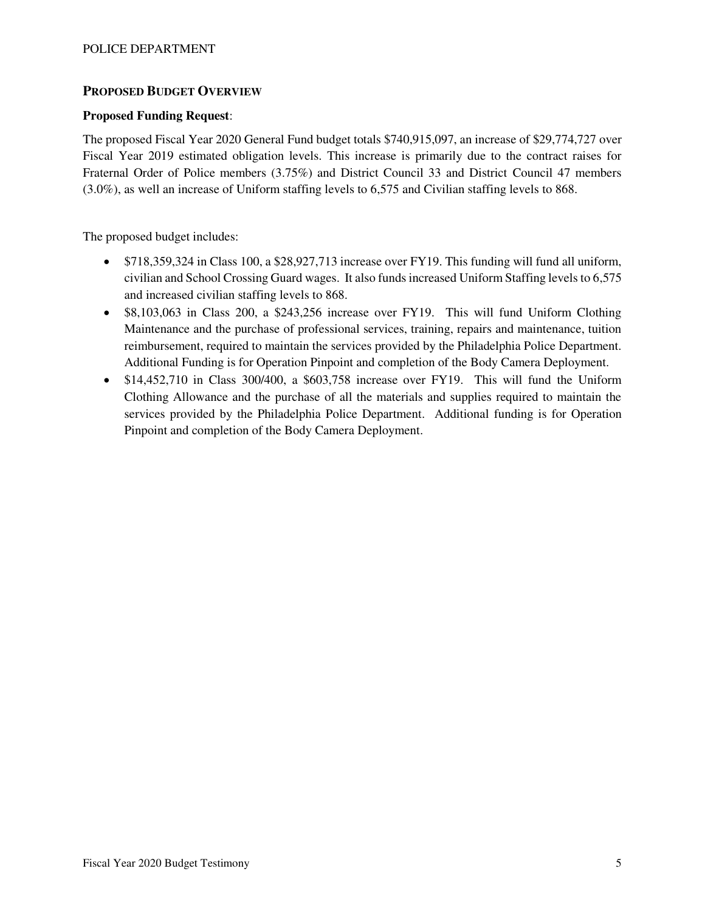### **PROPOSED BUDGET OVERVIEW**

### **Proposed Funding Request**:

The proposed Fiscal Year 2020 General Fund budget totals \$740,915,097, an increase of \$29,774,727 over Fiscal Year 2019 estimated obligation levels. This increase is primarily due to the contract raises for Fraternal Order of Police members (3.75%) and District Council 33 and District Council 47 members (3.0%), as well an increase of Uniform staffing levels to 6,575 and Civilian staffing levels to 868.

The proposed budget includes:

- \$718,359,324 in Class 100, a \$28,927,713 increase over FY19. This funding will fund all uniform, civilian and School Crossing Guard wages. It also funds increased Uniform Staffing levels to 6,575 and increased civilian staffing levels to 868.
- \$8,103,063 in Class 200, a \$243,256 increase over FY19. This will fund Uniform Clothing Maintenance and the purchase of professional services, training, repairs and maintenance, tuition reimbursement, required to maintain the services provided by the Philadelphia Police Department. Additional Funding is for Operation Pinpoint and completion of the Body Camera Deployment.
- \$14,452,710 in Class 300/400, a \$603,758 increase over FY19. This will fund the Uniform Clothing Allowance and the purchase of all the materials and supplies required to maintain the services provided by the Philadelphia Police Department. Additional funding is for Operation Pinpoint and completion of the Body Camera Deployment.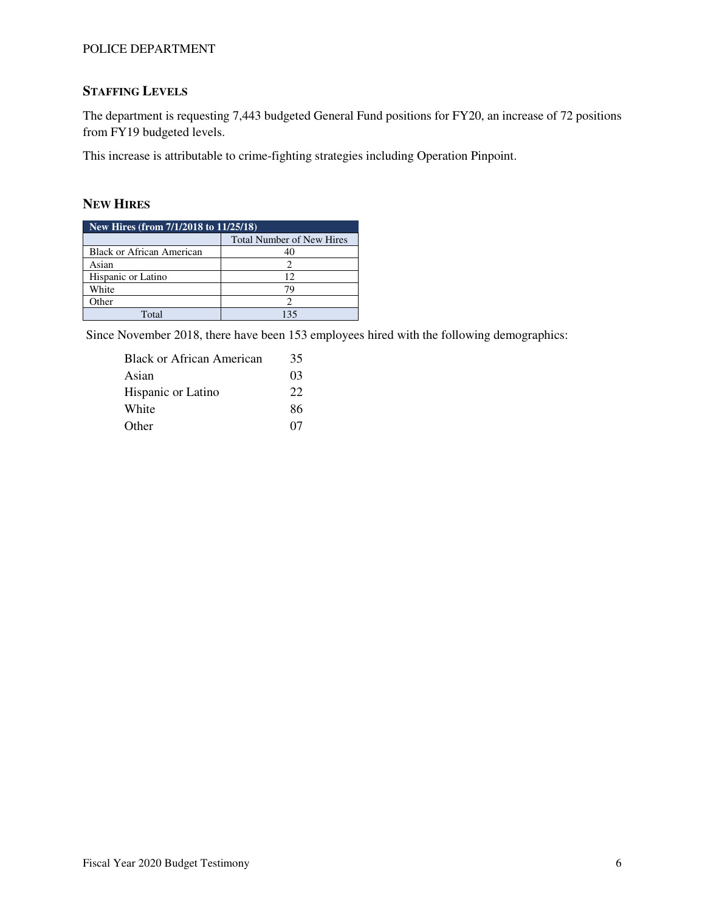## **STAFFING LEVELS**

The department is requesting 7,443 budgeted General Fund positions for FY20, an increase of 72 positions from FY19 budgeted levels.

This increase is attributable to crime-fighting strategies including Operation Pinpoint.

### **NEW HIRES**

| New Hires (from $\frac{7}{12018}$ to $\frac{11}{25}{18}$ ) |                                  |  |  |  |
|------------------------------------------------------------|----------------------------------|--|--|--|
|                                                            | <b>Total Number of New Hires</b> |  |  |  |
| Black or African American                                  |                                  |  |  |  |
| Asian                                                      |                                  |  |  |  |
| Hispanic or Latino                                         | 12                               |  |  |  |
| White                                                      | 79                               |  |  |  |
| Other                                                      |                                  |  |  |  |
| Total                                                      | 135                              |  |  |  |

Since November 2018, there have been 153 employees hired with the following demographics:

| <b>Black or African American</b> | 35 |
|----------------------------------|----|
| Asian                            | 03 |
| Hispanic or Latino               | 22 |
| White                            | 86 |
| Other                            | 07 |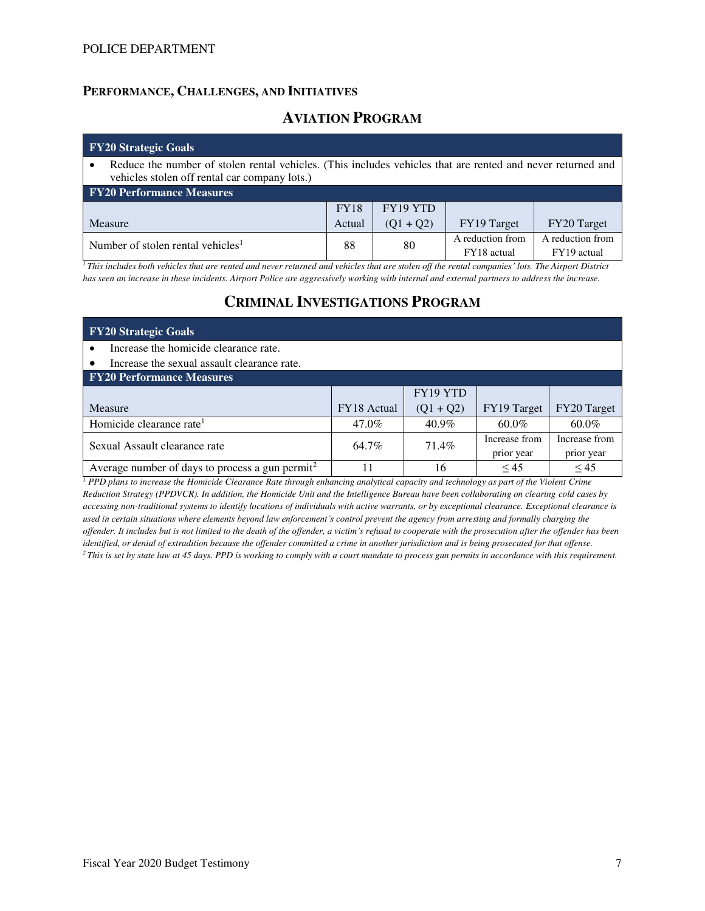### **PERFORMANCE, CHALLENGES, AND INITIATIVES**

## **AVIATION PROGRAM**

| $\overline{Y120}$ Strategic Goals                                                                                                                            |             |             |                                 |                                 |  |  |
|--------------------------------------------------------------------------------------------------------------------------------------------------------------|-------------|-------------|---------------------------------|---------------------------------|--|--|
| Reduce the number of stolen rental vehicles. (This includes vehicles that are rented and never returned and<br>vehicles stolen off rental car company lots.) |             |             |                                 |                                 |  |  |
| <b>FY20 Performance Measures</b>                                                                                                                             |             |             |                                 |                                 |  |  |
|                                                                                                                                                              | <b>FY18</b> | FY19 YTD    |                                 |                                 |  |  |
| Measure                                                                                                                                                      | Actual      | $(Q1 + Q2)$ | FY19 Target                     | FY20 Target                     |  |  |
| Number of stolen rental vehicles <sup>1</sup>                                                                                                                | 88          | 80          | A reduction from<br>FY18 actual | A reduction from<br>FY19 actual |  |  |

<sup>*1</sup>This includes both vehicles that are rented and never returned and vehicles that are stolen off the rental companies' lots. The Airport District*</sup> *has seen an increase in these incidents. Airport Police are aggressively working with internal and external partners to address the increase.*

# **CRIMINAL INVESTIGATIONS PROGRAM**

| <b>FY20 Strategic Goals</b>                        |                    |             |                             |                             |
|----------------------------------------------------|--------------------|-------------|-----------------------------|-----------------------------|
| Increase the homicide clearance rate.<br>$\bullet$ |                    |             |                             |                             |
| Increase the sexual assault clearance rate.        |                    |             |                             |                             |
| <b>FY20 Performance Measures</b>                   |                    |             |                             |                             |
|                                                    |                    | FY19 YTD    |                             |                             |
| Measure                                            | <b>FY18</b> Actual | $(Q1 + Q2)$ | FY19 Target                 | FY20 Target                 |
| Homicide clearance rate <sup>1</sup>               | 47.0%              | $40.9\%$    | $60.0\%$                    | $60.0\%$                    |
|                                                    |                    |             |                             |                             |
| Sexual Assault clearance rate                      | 64.7%              | 71.4%       | Increase from<br>prior year | Increase from<br>prior year |

<sup>1</sup> PPD plans to increase the Homicide Clearance Rate through enhancing analytical capacity and technology as part of the Violent Crime *Reduction Strategy (PPDVCR). In addition, the Homicide Unit and the Intelligence Bureau have been collaborating on clearing cold cases by accessing non-traditional systems to identify locations of individuals with active warrants, or by exceptional clearance. Exceptional clearance is used in certain situations where elements beyond law enforcement's control prevent the agency from arresting and formally charging the offender. It includes but is not limited to the death of the offender, a victim's refusal to cooperate with the prosecution after the offender has been identified, or denial of extradition because the offender committed a crime in another jurisdiction and is being prosecuted for that offense. 2 This is set by state law at 45 days. PPD is working to comply with a court mandate to process gun permits in accordance with this requirement.*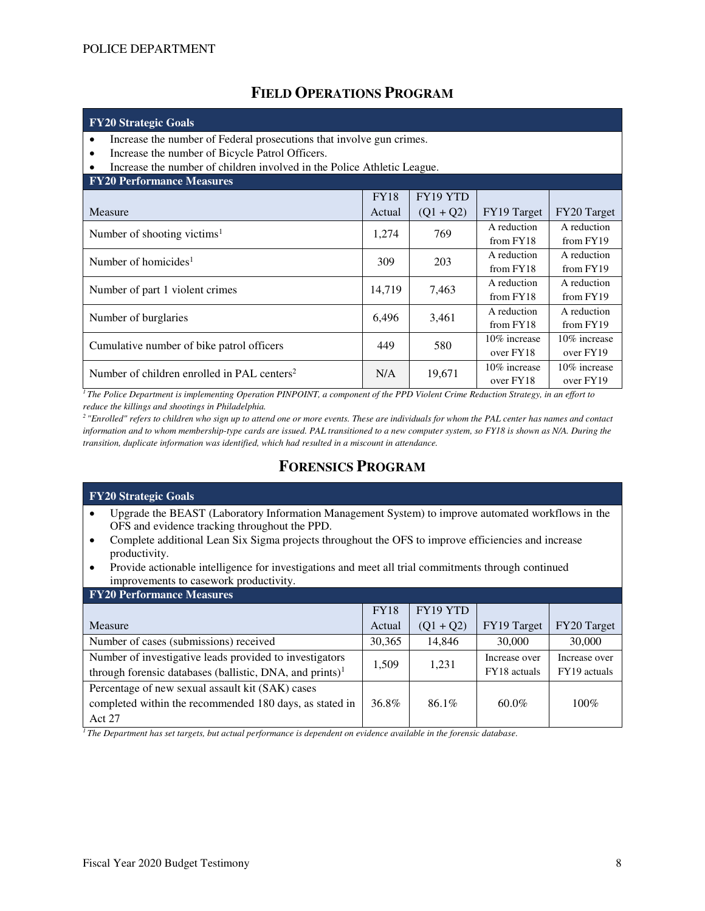# **FIELD OPERATIONS PROGRAM**

| <b>FY20 Strategic Goals</b>                                                                                                                                                                                                               |             |             |                           |                           |  |  |
|-------------------------------------------------------------------------------------------------------------------------------------------------------------------------------------------------------------------------------------------|-------------|-------------|---------------------------|---------------------------|--|--|
| Increase the number of Federal prosecutions that involve gun crimes.<br>$\bullet$<br>Increase the number of Bicycle Patrol Officers.<br>$\bullet$<br>Increase the number of children involved in the Police Athletic League.<br>$\bullet$ |             |             |                           |                           |  |  |
| <b>FY20 Performance Measures</b>                                                                                                                                                                                                          |             |             |                           |                           |  |  |
|                                                                                                                                                                                                                                           | <b>FY18</b> | FY19 YTD    |                           |                           |  |  |
| Measure                                                                                                                                                                                                                                   | Actual      | $(Q1 + Q2)$ | FY19 Target               | FY20 Target               |  |  |
| Number of shooting victims <sup>1</sup>                                                                                                                                                                                                   | 1,274       | 769         | A reduction<br>from FY18  | A reduction<br>from FY19  |  |  |
| Number of homicides <sup>1</sup>                                                                                                                                                                                                          | 309         | 203         | A reduction<br>from FY18  | A reduction<br>from FY19  |  |  |
| Number of part 1 violent crimes                                                                                                                                                                                                           | 14,719      | 7,463       | A reduction<br>from FY18  | A reduction<br>from FY19  |  |  |
| Number of burglaries                                                                                                                                                                                                                      | 6,496       | 3,461       | A reduction<br>from FY18  | A reduction<br>from FY19  |  |  |
| Cumulative number of bike patrol officers                                                                                                                                                                                                 | 449         | 580         | 10% increase<br>over FY18 | 10% increase<br>over FY19 |  |  |
| Number of children enrolled in PAL centers <sup>2</sup>                                                                                                                                                                                   | N/A         | 19,671      | 10% increase<br>over FY18 | 10% increase<br>over FY19 |  |  |

*<sup>1</sup>The Police Department is implementing Operation PINPOINT, a component of the PPD Violent Crime Reduction Strategy, in an effort to reduce the killings and shootings in Philadelphia.* 

*<sup>2</sup>"Enrolled" refers to children who sign up to attend one or more events. These are individuals for whom the PAL center has names and contact information and to whom membership-type cards are issued. PAL transitioned to a new computer system, so FY18 is shown as N/A. During the transition, duplicate information was identified, which had resulted in a miscount in attendance.*

# **FORENSICS PROGRAM**

| <b>FY20 Strategic Goals</b>                                                                                                                           |                 |                                                                               |                                 |               |  |  |  |
|-------------------------------------------------------------------------------------------------------------------------------------------------------|-----------------|-------------------------------------------------------------------------------|---------------------------------|---------------|--|--|--|
| Upgrade the BEAST (Laboratory Information Management System) to improve automated workflows in the                                                    |                 |                                                                               |                                 |               |  |  |  |
| OFS and evidence tracking throughout the PPD.                                                                                                         |                 |                                                                               |                                 |               |  |  |  |
| Complete additional Lean Six Sigma projects throughout the OFS to improve efficiencies and increase<br>$\bullet$                                      |                 |                                                                               |                                 |               |  |  |  |
| productivity.                                                                                                                                         |                 |                                                                               |                                 |               |  |  |  |
| Provide actionable intelligence for investigations and meet all trial commitments through continued<br>$\bullet$                                      |                 |                                                                               |                                 |               |  |  |  |
| improvements to casework productivity.                                                                                                                |                 |                                                                               |                                 |               |  |  |  |
| <b>FY20 Performance Measures</b>                                                                                                                      |                 |                                                                               |                                 |               |  |  |  |
|                                                                                                                                                       | <b>FY18</b>     | FY19 YTD                                                                      |                                 |               |  |  |  |
| Measure                                                                                                                                               | Actual          | $(Q1 + Q2)$                                                                   | FY19 Target                     | FY20 Target   |  |  |  |
| Number of cases (submissions) received                                                                                                                | 30,365          | 14,846                                                                        | 30,000                          | 30,000        |  |  |  |
| Number of investigative leads provided to investigators                                                                                               |                 |                                                                               | Increase over                   | Increase over |  |  |  |
| 1,509<br>1,231<br>through forensic databases (ballistic, DNA, and prints) $1$<br>FY18 actuals<br>FY19 actuals                                         |                 |                                                                               |                                 |               |  |  |  |
| Percentage of new sexual assault kit (SAK) cases                                                                                                      |                 |                                                                               |                                 |               |  |  |  |
| completed within the recommended 180 days, as stated in                                                                                               | 36.8%           | 86.1%                                                                         | $60.0\%$                        | $100\%$       |  |  |  |
| Act 27                                                                                                                                                |                 |                                                                               |                                 |               |  |  |  |
| $\mathbf{a}$ and $\mathbf{a}$ and $\mathbf{a}$ and $\mathbf{a}$ and $\mathbf{a}$ and $\mathbf{a}$ and $\mathbf{a}$ and $\mathbf{a}$<br>m <sub>i</sub> | $\cdot$ $\cdot$ | $\mathbf{1}$ $\mathbf{1}$ $\mathbf{1}$ $\mathbf{1}$ $\mathbf{1}$ $\mathbf{1}$ | $\cdot$ $\cdot$ $\cdot$ $\cdot$ |               |  |  |  |

*1 The Department has set targets, but actual performance is dependent on evidence available in the forensic database.*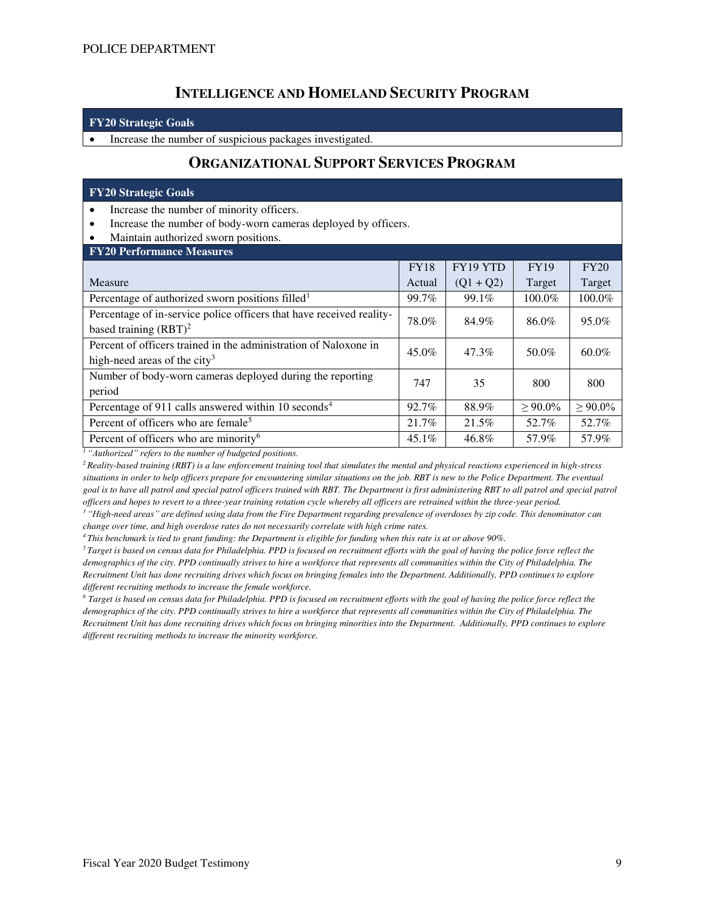## **INTELLIGENCE AND HOMELAND SECURITY PROGRAM**

#### **FY20 Strategic Goals**

• Increase the number of suspicious packages investigated.

## **ORGANIZATIONAL SUPPORT SERVICES PROGRAM**

#### **FY20 Strategic Goals**

- Increase the number of minority officers.
- Increase the number of body-worn cameras deployed by officers.
- Maintain authorized sworn positions.

| <b>FY18</b> | FY19 YTD        | <b>FY19</b> | FY20         |
|-------------|-----------------|-------------|--------------|
| Actual      | $(Q1 + Q2)$     | Target      | Target       |
| 99.7%       | 99.1%           | 100.0%      | $100.0\%$    |
| 78.0%       | 84.9%           | 86.0%       | 95.0%        |
|             |                 |             |              |
|             |                 |             | 60.0%        |
|             |                 |             |              |
|             |                 |             | 800          |
|             |                 |             |              |
| 92.7%       | 88.9%           | $> 90.0\%$  | $> 90.0\%$   |
| 21.7%       | 21.5%           | 52.7%       | 52.7%        |
| $45.1\%$    | 46.8%           | 57.9%       | 57.9%        |
|             | $45.0\%$<br>747 | 47.3%<br>35 | 50.0%<br>800 |

*<sup>1</sup>"Authorized" refers to the number of budgeted positions.*

*<sup>2</sup>Reality-based training (RBT) is a law enforcement training tool that simulates the mental and physical reactions experienced in high-stress situations in order to help officers prepare for encountering similar situations on the job. RBT is new to the Police Department. The eventual*  goal is to have all patrol and special patrol officers trained with RBT. The Department is first administering RBT to all patrol and special patrol *officers and hopes to revert to a three-year training rotation cycle whereby all officers are retrained within the three-year period.* 

*<sup>3</sup>"High-need areas" are defined using data from the Fire Department regarding prevalence of overdoses by zip code. This denominator can change over time, and high overdose rates do not necessarily correlate with high crime rates.*

*<sup>4</sup>This benchmark is tied to grant funding: the Department is eligible for funding when this rate is at or above 90%.* 

*<sup>5</sup>Target is based on census data for Philadelphia. PPD is focused on recruitment efforts with the goal of having the police force reflect the demographics of the city. PPD continually strives to hire a workforce that represents all communities within the City of Philadelphia. The Recruitment Unit has done recruiting drives which focus on bringing females into the Department. Additionally, PPD continues to explore different recruiting methods to increase the female workforce.* 

*6 Target is based on census data for Philadelphia. PPD is focused on recruitment efforts with the goal of having the police force reflect the demographics of the city. PPD continually strives to hire a workforce that represents all communities within the City of Philadelphia. The Recruitment Unit has done recruiting drives which focus on bringing minorities into the Department. Additionally, PPD continues to explore different recruiting methods to increase the minority workforce.*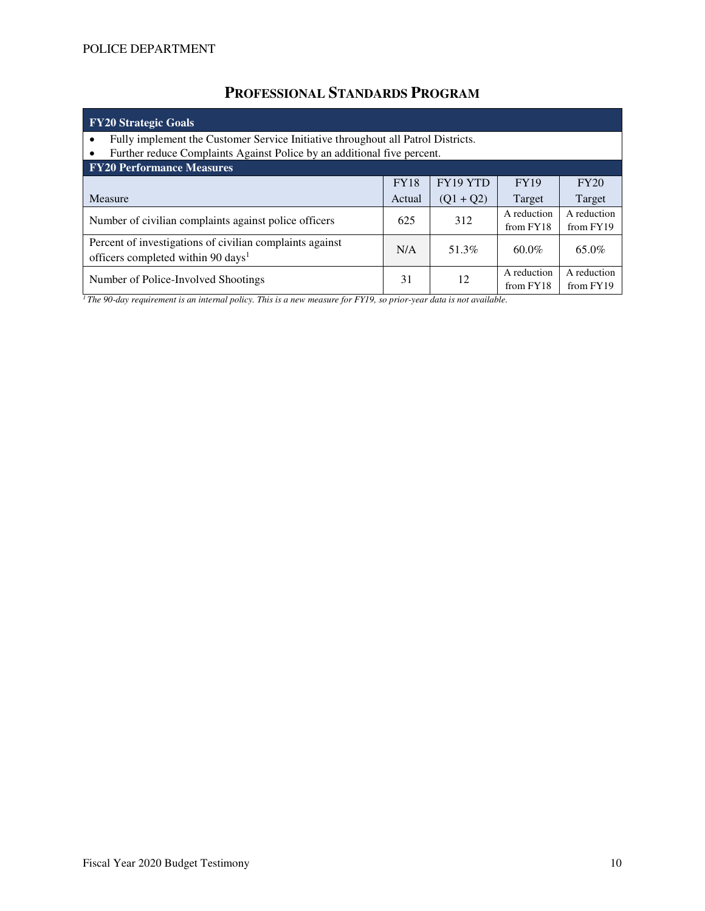# **PROFESSIONAL STANDARDS PROGRAM**

| <b>FY20 Strategic Goals</b>                                                                                                                                 |             |                   |                          |                          |  |  |  |  |
|-------------------------------------------------------------------------------------------------------------------------------------------------------------|-------------|-------------------|--------------------------|--------------------------|--|--|--|--|
| Fully implement the Customer Service Initiative throughout all Patrol Districts.<br>Further reduce Complaints Against Police by an additional five percent. |             |                   |                          |                          |  |  |  |  |
| <b>FY20 Performance Measures</b>                                                                                                                            |             |                   |                          |                          |  |  |  |  |
|                                                                                                                                                             | <b>FY18</b> | FY19 YTD          | <b>FY19</b>              | FY20                     |  |  |  |  |
| Measure                                                                                                                                                     | Actual      | $(Q1 + Q2)$       | Target                   | Target                   |  |  |  |  |
| Number of civilian complaints against police officers                                                                                                       | 625         | 312               | A reduction<br>from FY18 | A reduction<br>from FY19 |  |  |  |  |
| Percent of investigations of civilian complaints against<br>officers completed within 90 days <sup>1</sup>                                                  | N/A         | 51.3%<br>$60.0\%$ |                          | 65.0%                    |  |  |  |  |
| Number of Police-Involved Shootings                                                                                                                         | 31          | 12                | A reduction<br>from FY18 | A reduction<br>from FY19 |  |  |  |  |

*1 The 90-day requirement is an internal policy. This is a new measure for FY19, so prior-year data is not available.*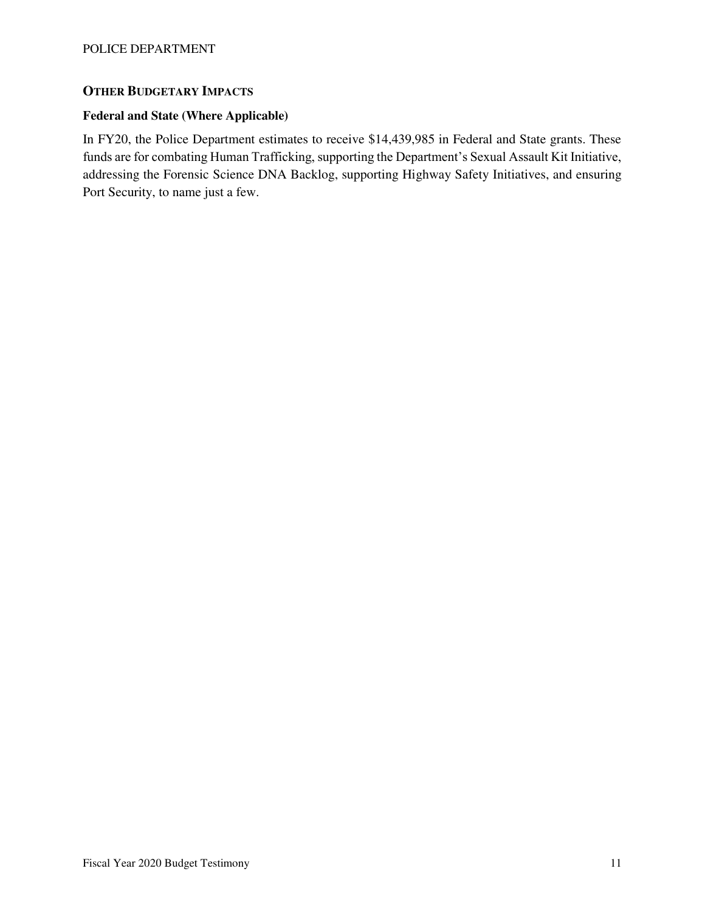### **OTHER BUDGETARY IMPACTS**

### **Federal and State (Where Applicable)**

In FY20, the Police Department estimates to receive \$14,439,985 in Federal and State grants. These funds are for combating Human Trafficking, supporting the Department's Sexual Assault Kit Initiative, addressing the Forensic Science DNA Backlog, supporting Highway Safety Initiatives, and ensuring Port Security, to name just a few.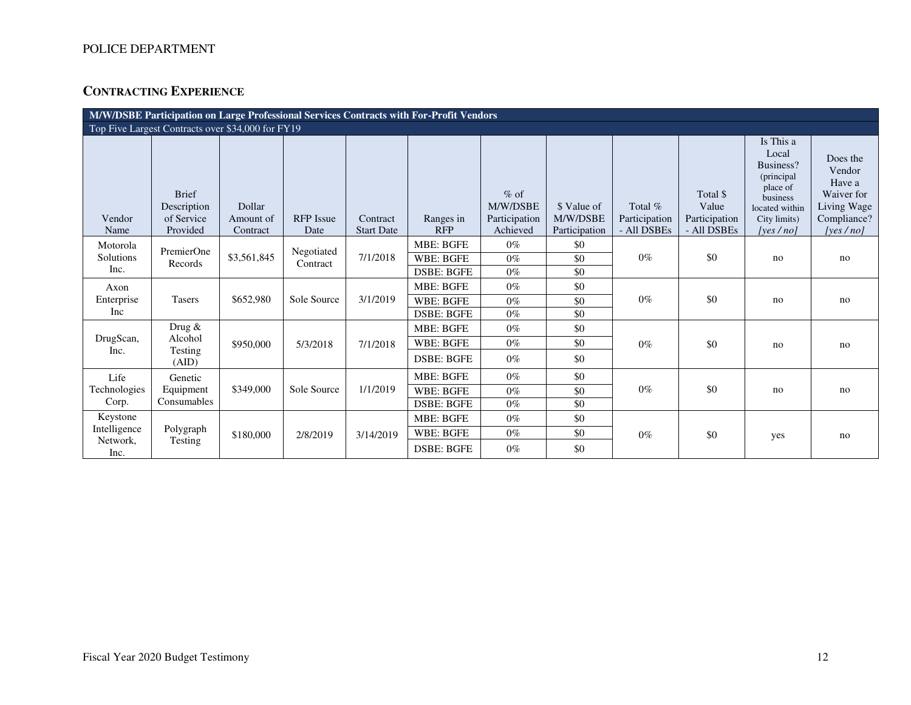# **CONTRACTING EXPERIENCE**

| M/W/DSBE Participation on Large Professional Services Contracts with For-Profit Vendors |                                           |                     |                        |                   |                                                           |                                     |                         |                          |                                    |                                                                                                          |                                                                          |
|-----------------------------------------------------------------------------------------|-------------------------------------------|---------------------|------------------------|-------------------|-----------------------------------------------------------|-------------------------------------|-------------------------|--------------------------|------------------------------------|----------------------------------------------------------------------------------------------------------|--------------------------------------------------------------------------|
| Top Five Largest Contracts over \$34,000 for FY19                                       |                                           |                     |                        |                   |                                                           |                                     |                         |                          |                                    |                                                                                                          |                                                                          |
| Vendor                                                                                  | <b>Brief</b><br>Description<br>of Service | Dollar<br>Amount of | <b>RFP</b> Issue       | Contract          | Ranges in<br><b>RFP</b>                                   | $%$ of<br>M/W/DSBE<br>Participation | \$ Value of<br>M/W/DSBE | Total %<br>Participation | Total \$<br>Value<br>Participation | Is This a<br>Local<br>Business?<br>(principal)<br>place of<br>business<br>located within<br>City limits) | Does the<br>Vendor<br>Have a<br>Waiver for<br>Living Wage<br>Compliance? |
| Name                                                                                    | Provided                                  | Contract            | Date                   | <b>Start Date</b> |                                                           | Achieved                            | Participation           | - All DSBEs              | - All DSBEs                        | [ves/no]                                                                                                 | [ves/no]                                                                 |
| Motorola<br>Solutions<br>Inc.                                                           | PremierOne<br>Records                     | \$3,561,845         | Negotiated<br>Contract | 7/1/2018          | <b>MBE: BGFE</b><br><b>WBE: BGFE</b><br><b>DSBE: BGFE</b> | $0\%$<br>$0\%$<br>$0\%$             | \$0<br>\$0<br>\$0       | $0\%$                    | \$0                                | no                                                                                                       | no                                                                       |
| Axon<br>Enterprise<br>Inc                                                               | <b>Tasers</b>                             | \$652,980           | Sole Source            | 3/1/2019          | <b>MBE: BGFE</b><br>WBE: BGFE<br><b>DSBE: BGFE</b>        | $0\%$<br>$0\%$<br>$0\%$             | \$0<br>\$0<br>\$0       | $0\%$                    | \$0                                | no                                                                                                       | no                                                                       |
| DrugScan,<br>Inc.                                                                       | Drug &<br>Alcohol<br>Testing<br>(AID)     | \$950,000           | 5/3/2018               | 7/1/2018          | <b>MBE: BGFE</b><br>WBE: BGFE<br><b>DSBE: BGFE</b>        | $0\%$<br>$0\%$<br>$0\%$             | \$0<br>\$0<br>\$0       | $0\%$                    | \$0                                | no                                                                                                       | no                                                                       |
| Life<br>Technologies<br>Corp.                                                           | Genetic<br>Equipment<br>Consumables       | \$349,000           | Sole Source            | 1/1/2019          | MBE: BGFE<br><b>WBE: BGFE</b><br><b>DSBE: BGFE</b>        | $0\%$<br>$0\%$<br>$0\%$             | \$0<br>\$0<br>\$0       | $0\%$                    | \$0                                | no                                                                                                       | no                                                                       |
| Keystone<br>Intelligence<br>Network,<br>Inc.                                            | Polygraph<br>Testing                      | \$180,000           | 2/8/2019               | 3/14/2019         | MBE: BGFE<br><b>WBE: BGFE</b><br><b>DSBE: BGFE</b>        | $0\%$<br>$0\%$<br>$0\%$             | \$0<br>\$0<br>\$0       | $0\%$                    | \$0                                | yes                                                                                                      | no                                                                       |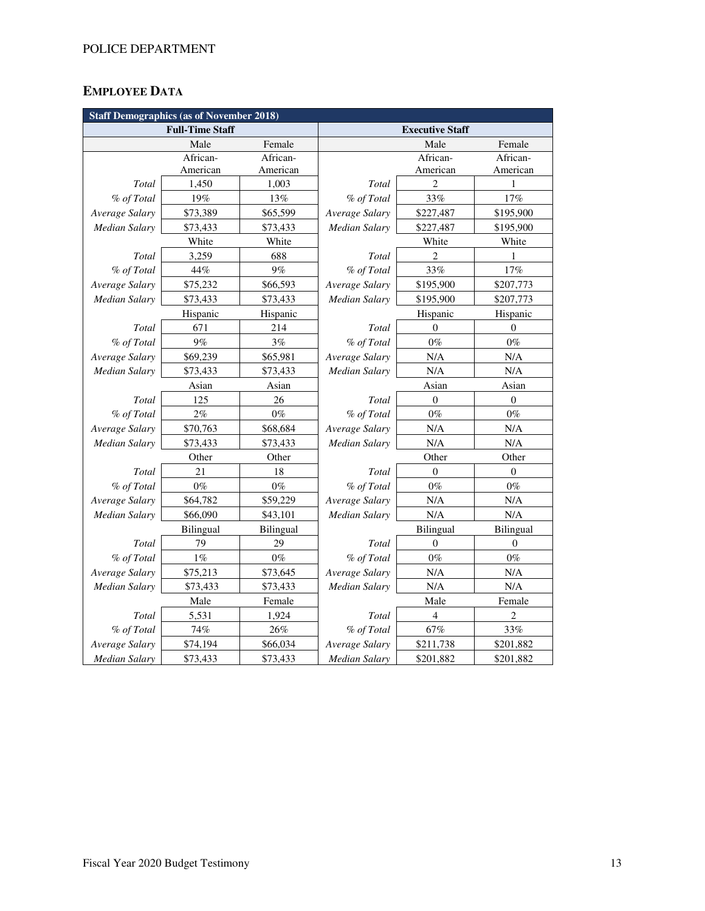# **EMPLOYEE DATA**

| <b>Staff Demographics (as of November 2018)</b> |                        |           |                        |                               |                  |  |  |  |
|-------------------------------------------------|------------------------|-----------|------------------------|-------------------------------|------------------|--|--|--|
|                                                 | <b>Full-Time Staff</b> |           | <b>Executive Staff</b> |                               |                  |  |  |  |
|                                                 | Male                   | Female    |                        | Male                          | Female           |  |  |  |
|                                                 | African-               | African-  |                        | African-                      | African-         |  |  |  |
|                                                 | American               | American  |                        | American                      | American         |  |  |  |
| Total                                           | 1,450                  | 1,003     | <b>Total</b>           | $\overline{2}$                | 1                |  |  |  |
| % of Total                                      | 19%                    | 13%       | % of Total             | 33%                           | 17%              |  |  |  |
| Average Salary                                  | \$73,389               | \$65,599  | Average Salary         | \$227,487                     | \$195,900        |  |  |  |
| <b>Median Salary</b>                            | \$73,433               | \$73,433  | Median Salary          | \$227,487                     | \$195,900        |  |  |  |
|                                                 | White                  | White     |                        | White                         | White            |  |  |  |
| Total                                           | 3,259                  | 688       | Total                  | 2                             | 1                |  |  |  |
| % of Total                                      | $44\%$                 | 9%        | % of Total             | 33%                           | 17%              |  |  |  |
| Average Salary                                  | \$75,232               | \$66,593  | Average Salary         | \$195,900                     | \$207,773        |  |  |  |
| <b>Median Salary</b>                            | \$73,433               | \$73,433  | Median Salary          | \$195,900                     | \$207,773        |  |  |  |
|                                                 | Hispanic               | Hispanic  | Hispanic<br>Hispanic   |                               |                  |  |  |  |
| Total                                           | 671                    | 214       | Total<br>$\mathbf{0}$  |                               | $\mathbf{0}$     |  |  |  |
| % of Total                                      | 9%                     | 3%        | % of Total             | $0\%$                         | $0\%$            |  |  |  |
| Average Salary                                  | \$69,239               | \$65,981  | Average Salary         | N/A                           | $\rm N/A$        |  |  |  |
| Median Salary                                   | \$73,433               | \$73,433  | <b>Median Salary</b>   | N/A                           | N/A              |  |  |  |
|                                                 | Asian                  | Asian     |                        | Asian                         | Asian            |  |  |  |
| Total                                           | 125                    | 26        | Total                  | $\boldsymbol{0}$              | $\boldsymbol{0}$ |  |  |  |
| % of Total                                      | 2%                     | $0\%$     | % of Total             | $0\%$                         | $0\%$            |  |  |  |
| Average Salary                                  | \$70,763               | \$68,684  | Average Salary         | N/A                           | N/A              |  |  |  |
| <b>Median Salary</b>                            | \$73,433               | \$73,433  | Median Salary          | N/A                           | N/A              |  |  |  |
|                                                 | Other                  | Other     |                        | Other                         | Other            |  |  |  |
| Total                                           | 21                     | 18        | Total                  | $\theta$                      | $\mathbf{0}$     |  |  |  |
| % of Total                                      | $0\%$                  | $0\%$     | % of Total             | $0\%$                         | $0\%$            |  |  |  |
| Average Salary                                  | \$64,782               | \$59,229  | Average Salary         | N/A                           | N/A              |  |  |  |
| <b>Median Salary</b>                            | \$66,090               | \$43,101  | Median Salary          | N/A                           | N/A              |  |  |  |
|                                                 | Bilingual              | Bilingual |                        | <b>Bilingual</b><br>Bilingual |                  |  |  |  |
| Total                                           | 79                     | 29        | Total                  | $\mathbf{0}$                  | $\boldsymbol{0}$ |  |  |  |
| % of Total                                      | $1\%$                  | $0\%$     | % of Total             | $0\%$                         | $0\%$            |  |  |  |
| Average Salary                                  | \$75,213               | \$73,645  | Average Salary         | N/A                           | N/A              |  |  |  |
| <b>Median Salary</b>                            | \$73,433               | \$73,433  | <b>Median Salary</b>   | N/A                           | $\rm N/A$        |  |  |  |
|                                                 | Male                   | Female    |                        | Male                          | Female           |  |  |  |
| Total                                           | 5,531                  | 1,924     | Total                  | $\overline{4}$                | $\overline{c}$   |  |  |  |
| % of Total                                      | 74%                    | 26%       | % of Total             | 67%                           | 33%              |  |  |  |
| Average Salary                                  | \$74,194               | \$66,034  | Average Salary         | \$211,738                     | \$201,882        |  |  |  |
| Median Salary                                   | \$73,433               | \$73,433  | Median Salary          | \$201,882                     | \$201,882        |  |  |  |